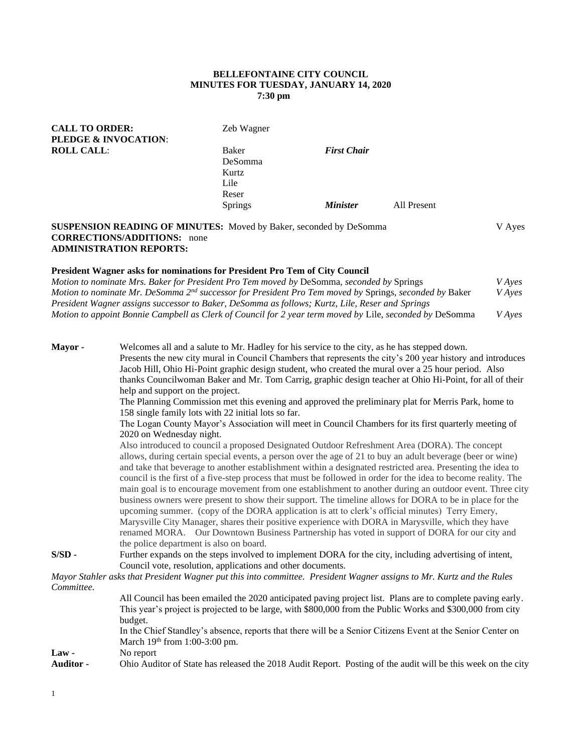### **BELLEFONTAINE CITY COUNCIL MINUTES FOR TUESDAY, JANUARY 14, 2020 7:30 pm**

| <b>CALL TO ORDER:</b><br><b>PLEDGE &amp; INVOCATION:</b> | Zeb Wagner     |                        |             |
|----------------------------------------------------------|----------------|------------------------|-------------|
| <b>ROLL CALL:</b>                                        | Baker          | <b>First Chair</b>     |             |
|                                                          | DeSomma        |                        |             |
|                                                          | Kurtz<br>Lile  |                        |             |
|                                                          | Reser          |                        |             |
|                                                          | <b>Springs</b> | <i><b>Minister</b></i> | All Present |
|                                                          |                |                        |             |

**SUSPENSION READING OF MINUTES:** Moved by Baker, seconded by DeSomma V Ayes **CORRECTIONS/ADDITIONS:** none **ADMINISTRATION REPORTS:**

#### **President Wagner asks for nominations for President Pro Tem of City Council**

*Motion to nominate Mrs. Baker for President Pro Tem moved by* DeSomma, *seconded by* Springs *V Ayes Motion to nominate Mr. DeSomma 2nd successor for President Pro Tem moved by* Springs, *seconded by* Baker *V Ayes President Wagner assigns successor to Baker, DeSomma as follows; Kurtz, Lile, Reser and Springs Motion to appoint Bonnie Campbell as Clerk of Council for 2 year term moved by* Lile, *seconded by* DeSomma *V Ayes*

**Mayor -** Welcomes all and a salute to Mr. Hadley for his service to the city, as he has stepped down. Presents the new city mural in Council Chambers that represents the city's 200 year history and introduces Jacob Hill, Ohio Hi-Point graphic design student, who created the mural over a 25 hour period. Also thanks Councilwoman Baker and Mr. Tom Carrig, graphic design teacher at Ohio Hi-Point, for all of their help and support on the project. The Planning Commission met this evening and approved the preliminary plat for Merris Park, home to 158 single family lots with 22 initial lots so far. The Logan County Mayor's Association will meet in Council Chambers for its first quarterly meeting of 2020 on Wednesday night. Also introduced to council a proposed Designated Outdoor Refreshment Area (DORA). The concept allows, during certain special events, a person over the age of 21 to buy an adult beverage (beer or wine) and take that beverage to another establishment within a designated restricted area. Presenting the idea to council is the first of a five-step process that must be followed in order for the idea to become reality. The main goal is to encourage movement from one establishment to another during an outdoor event. Three city business owners were present to show their support. The timeline allows for DORA to be in place for the upcoming summer. (copy of the DORA application is att to clerk's official minutes) Terry Emery, Marysville City Manager, shares their positive experience with DORA in Marysville, which they have renamed MORA. Our Downtown Business Partnership has voted in support of DORA for our city and the police department is also on board. **S/SD -** Further expands on the steps involved to implement DORA for the city, including advertising of intent, Council vote, resolution, applications and other documents. *Mayor Stahler asks that President Wagner put this into committee. President Wagner assigns to Mr. Kurtz and the Rules Committee.* All Council has been emailed the 2020 anticipated paving project list. Plans are to complete paving early. This year's project is projected to be large, with \$800,000 from the Public Works and \$300,000 from city budget. In the Chief Standley's absence, reports that there will be a Senior Citizens Event at the Senior Center on March 19<sup>th</sup> from 1:00-3:00 pm. **Law -** No report

**Auditor -** Ohio Auditor of State has released the 2018 Audit Report. Posting of the audit will be this week on the city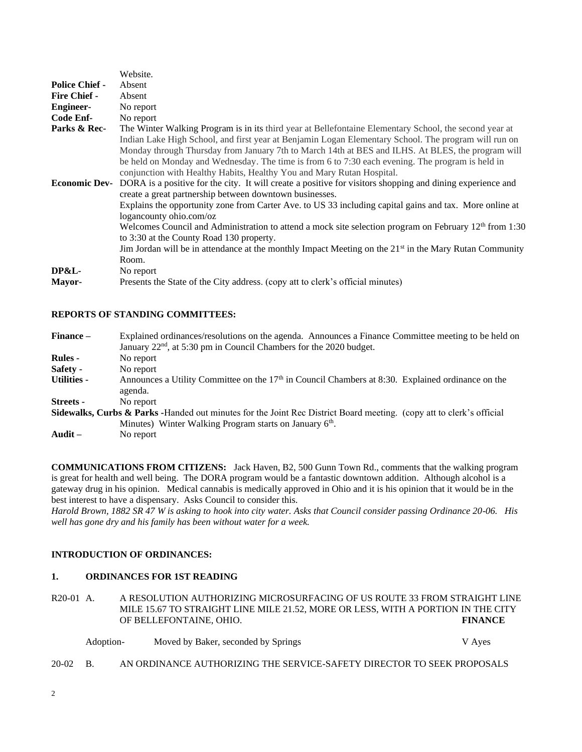|                       | Website.                                                                                                                                                                                                                                                                                                                                                                               |
|-----------------------|----------------------------------------------------------------------------------------------------------------------------------------------------------------------------------------------------------------------------------------------------------------------------------------------------------------------------------------------------------------------------------------|
| <b>Police Chief -</b> | Absent                                                                                                                                                                                                                                                                                                                                                                                 |
| <b>Fire Chief -</b>   | Absent                                                                                                                                                                                                                                                                                                                                                                                 |
| <b>Engineer-</b>      | No report                                                                                                                                                                                                                                                                                                                                                                              |
| Code Enf-             | No report                                                                                                                                                                                                                                                                                                                                                                              |
| Parks & Rec-          | The Winter Walking Program is in its third year at Bellefontaine Elementary School, the second year at                                                                                                                                                                                                                                                                                 |
|                       | Indian Lake High School, and first year at Benjamin Logan Elementary School. The program will run on<br>Monday through Thursday from January 7th to March 14th at BES and ILHS. At BLES, the program will<br>be held on Monday and Wednesday. The time is from 6 to 7:30 each evening. The program is held in<br>conjunction with Healthy Habits, Healthy You and Mary Rutan Hospital. |
| <b>Economic Dev-</b>  | DORA is a positive for the city. It will create a positive for visitors shopping and dining experience and<br>create a great partnership between downtown businesses.                                                                                                                                                                                                                  |
|                       | Explains the opportunity zone from Carter Ave. to US 33 including capital gains and tax. More online at<br>loganeounty ohio.com/oz                                                                                                                                                                                                                                                     |
|                       | Welcomes Council and Administration to attend a mock site selection program on February $12th$ from 1:30<br>to 3:30 at the County Road 130 property.                                                                                                                                                                                                                                   |
|                       | Jim Jordan will be in attendance at the monthly Impact Meeting on the $21st$ in the Mary Rutan Community<br>Room.                                                                                                                                                                                                                                                                      |
| <b>DP&amp;L-</b>      | No report                                                                                                                                                                                                                                                                                                                                                                              |
| Mayor-                | Presents the State of the City address. (copy att to clerk's official minutes)                                                                                                                                                                                                                                                                                                         |

# **REPORTS OF STANDING COMMITTEES:**

| Finance –          | Explained ordinances/resolutions on the agenda. Announces a Finance Committee meeting to be held on                              |
|--------------------|----------------------------------------------------------------------------------------------------------------------------------|
|                    | January 22 <sup>nd</sup> , at 5:30 pm in Council Chambers for the 2020 budget.                                                   |
| <b>Rules -</b>     | No report                                                                                                                        |
| Safety -           | No report                                                                                                                        |
| <b>Utilities -</b> | Announces a Utility Committee on the $17th$ in Council Chambers at 8:30. Explained ordinance on the                              |
|                    | agenda.                                                                                                                          |
| <b>Streets -</b>   | No report                                                                                                                        |
|                    | <b>Sidewalks, Curbs &amp; Parks -</b> Handed out minutes for the Joint Rec District Board meeting. (copy att to clerk's official |
|                    | Minutes) Winter Walking Program starts on January 6 <sup>th</sup> .                                                              |
| Audit $-$          | No report                                                                                                                        |

**COMMUNICATIONS FROM CITIZENS:** Jack Haven, B2, 500 Gunn Town Rd., comments that the walking program is great for health and well being. The DORA program would be a fantastic downtown addition. Although alcohol is a gateway drug in his opinion. Medical cannabis is medically approved in Ohio and it is his opinion that it would be in the best interest to have a dispensary. Asks Council to consider this.

*Harold Brown, 1882 SR 47 W is asking to hook into city water. Asks that Council consider passing Ordinance 20-06. His well has gone dry and his family has been without water for a week.*

# **INTRODUCTION OF ORDINANCES:**

#### **1. ORDINANCES FOR 1ST READING**

R20-01 A. A RESOLUTION AUTHORIZING MICROSURFACING OF US ROUTE 33 FROM STRAIGHT LINE MILE 15.67 TO STRAIGHT LINE MILE 21.52, MORE OR LESS, WITH A PORTION IN THE CITY OF BELLEFONTAINE, OHIO. **FINANCE**

| Adoption- | Moved by Baker, seconded by Springs | V Ayes |
|-----------|-------------------------------------|--------|
|-----------|-------------------------------------|--------|

20-02 B. AN ORDINANCE AUTHORIZING THE SERVICE-SAFETY DIRECTOR TO SEEK PROPOSALS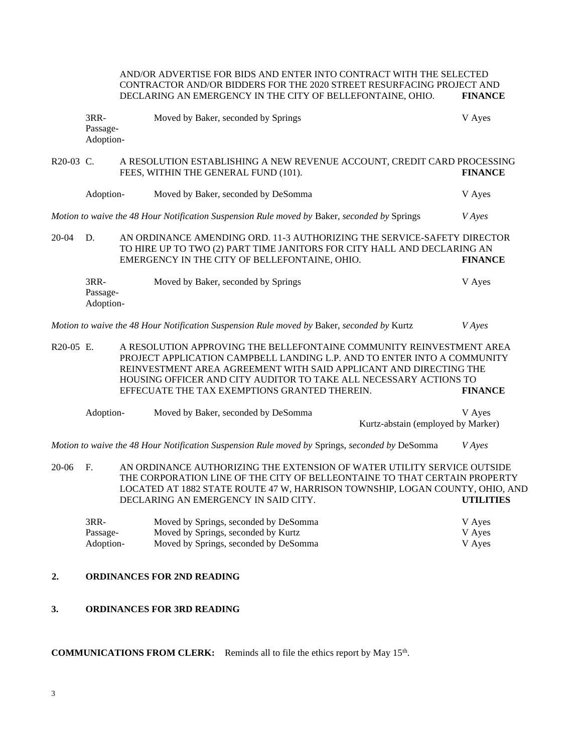|                               | AND/OR ADVERTISE FOR BIDS AND ENTER INTO CONTRACT WITH THE SELECTED<br>CONTRACTOR AND/OR BIDDERS FOR THE 2020 STREET RESURFACING PROJECT AND<br>DECLARING AN EMERGENCY IN THE CITY OF BELLEFONTAINE, OHIO.                                                                                                                                                   |                                                                                                                                                                                                     |                            |
|-------------------------------|--------------------------------------------------------------------------------------------------------------------------------------------------------------------------------------------------------------------------------------------------------------------------------------------------------------------------------------------------------------|-----------------------------------------------------------------------------------------------------------------------------------------------------------------------------------------------------|----------------------------|
| 3RR-<br>Passage-<br>Adoption- |                                                                                                                                                                                                                                                                                                                                                              | Moved by Baker, seconded by Springs                                                                                                                                                                 | V Ayes                     |
| R20-03 C.                     |                                                                                                                                                                                                                                                                                                                                                              | A RESOLUTION ESTABLISHING A NEW REVENUE ACCOUNT, CREDIT CARD PROCESSING<br>FEES, WITHIN THE GENERAL FUND (101).                                                                                     | <b>FINANCE</b>             |
| Adoption-                     |                                                                                                                                                                                                                                                                                                                                                              | Moved by Baker, seconded by DeSomma                                                                                                                                                                 | V Ayes                     |
|                               |                                                                                                                                                                                                                                                                                                                                                              | Motion to waive the 48 Hour Notification Suspension Rule moved by Baker, seconded by Springs                                                                                                        | <b>V</b> Ayes              |
| $20 - 04$<br>D.               |                                                                                                                                                                                                                                                                                                                                                              | AN ORDINANCE AMENDING ORD. 11-3 AUTHORIZING THE SERVICE-SAFETY DIRECTOR<br>TO HIRE UP TO TWO (2) PART TIME JANITORS FOR CITY HALL AND DECLARING AN<br>EMERGENCY IN THE CITY OF BELLEFONTAINE, OHIO. | <b>FINANCE</b>             |
| 3RR-<br>Passage-<br>Adoption- |                                                                                                                                                                                                                                                                                                                                                              | Moved by Baker, seconded by Springs                                                                                                                                                                 | V Ayes                     |
|                               |                                                                                                                                                                                                                                                                                                                                                              | Motion to waive the 48 Hour Notification Suspension Rule moved by Baker, seconded by Kurtz                                                                                                          | <b>V</b> Ayes              |
| R20-05 E.                     | A RESOLUTION APPROVING THE BELLEFONTAINE COMMUNITY REINVESTMENT AREA<br>PROJECT APPLICATION CAMPBELL LANDING L.P. AND TO ENTER INTO A COMMUNITY<br>REINVESTMENT AREA AGREEMENT WITH SAID APPLICANT AND DIRECTING THE<br>HOUSING OFFICER AND CITY AUDITOR TO TAKE ALL NECESSARY ACTIONS TO<br>EFFECUATE THE TAX EXEMPTIONS GRANTED THEREIN.<br><b>FINANCE</b> |                                                                                                                                                                                                     |                            |
| Adoption-                     |                                                                                                                                                                                                                                                                                                                                                              | Moved by Baker, seconded by DeSomma<br>Kurtz-abstain (employed by Marker)                                                                                                                           | V Ayes                     |
|                               |                                                                                                                                                                                                                                                                                                                                                              | Motion to waive the 48 Hour Notification Suspension Rule moved by Springs, seconded by DeSomma                                                                                                      | <b>V</b> Ayes              |
| 20-06<br>F.                   | AN ORDINANCE AUTHORIZING THE EXTENSION OF WATER UTILITY SERVICE OUTSIDE<br>THE CORPORATION LINE OF THE CITY OF BELLEONTAINE TO THAT CERTAIN PROPERTY<br>LOCATED AT 1882 STATE ROUTE 47 W, HARRISON TOWNSHIP, LOGAN COUNTY, OHIO, AND<br>DECLARING AN EMERGENCY IN SAID CITY.<br><b>UTILITIES</b>                                                             |                                                                                                                                                                                                     |                            |
| 3RR-<br>Passage-<br>Adoption- |                                                                                                                                                                                                                                                                                                                                                              | Moved by Springs, seconded by DeSomma<br>Moved by Springs, seconded by Kurtz<br>Moved by Springs, seconded by DeSomma                                                                               | V Ayes<br>V Ayes<br>V Ayes |
| 2.                            |                                                                                                                                                                                                                                                                                                                                                              | <b>ORDINANCES FOR 2ND READING</b>                                                                                                                                                                   |                            |
| 3.                            |                                                                                                                                                                                                                                                                                                                                                              | <b>ORDINANCES FOR 3RD READING</b>                                                                                                                                                                   |                            |

# **COMMUNICATIONS FROM CLERK:** Reminds all to file the ethics report by May 15<sup>th</sup>.